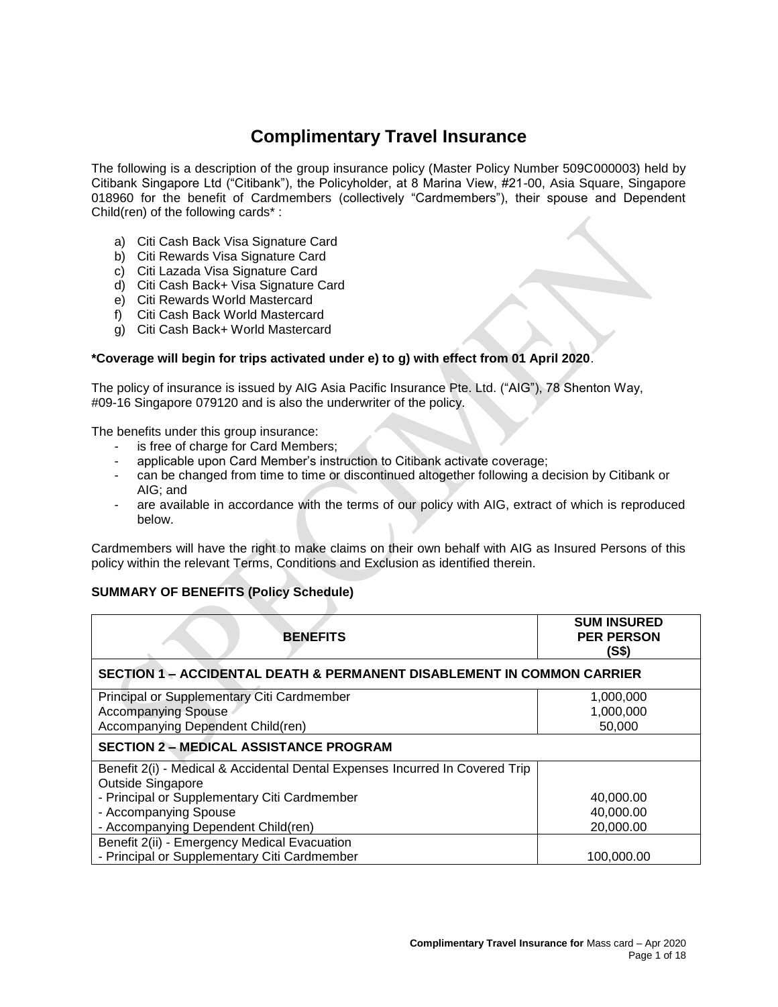# **Complimentary Travel Insurance**

The following is a description of the group insurance policy (Master Policy Number 509C000003) held by Citibank Singapore Ltd ("Citibank"), the Policyholder, at 8 Marina View, #21-00, Asia Square, Singapore 018960 for the benefit of Cardmembers (collectively "Cardmembers"), their spouse and Dependent Child(ren) of the following cards\* :

- a) Citi Cash Back Visa Signature Card
- b) Citi Rewards Visa Signature Card
- c) Citi Lazada Visa Signature Card
- d) Citi Cash Back+ Visa Signature Card
- e) Citi Rewards World Mastercard
- f) Citi Cash Back World Mastercard
- g) Citi Cash Back+ World Mastercard

# **\*Coverage will begin for trips activated under e) to g) with effect from 01 April 2020**.

The policy of insurance is issued by AIG Asia Pacific Insurance Pte. Ltd. ("AIG"), 78 Shenton Way, #09-16 Singapore 079120 and is also the underwriter of the policy.

The benefits under this group insurance:

- is free of charge for Card Members;
- applicable upon Card Member's instruction to Citibank activate coverage;
- can be changed from time to time or discontinued altogether following a decision by Citibank or AIG; and
- are available in accordance with the terms of our policy with AIG, extract of which is reproduced below.

Cardmembers will have the right to make claims on their own behalf with AIG as Insured Persons of this policy within the relevant Terms, Conditions and Exclusion as identified therein.

# **SUMMARY OF BENEFITS (Policy Schedule)**

| <b>BENEFITS</b>                                                                   | <b>SUM INSURED</b><br><b>PER PERSON</b><br>(S\$) |  |  |  |
|-----------------------------------------------------------------------------------|--------------------------------------------------|--|--|--|
| <b>SECTION 1 - ACCIDENTAL DEATH &amp; PERMANENT DISABLEMENT IN COMMON CARRIER</b> |                                                  |  |  |  |
| Principal or Supplementary Citi Cardmember                                        | 1,000,000                                        |  |  |  |
| <b>Accompanying Spouse</b>                                                        | 1,000,000                                        |  |  |  |
| Accompanying Dependent Child(ren)                                                 | 50,000                                           |  |  |  |
| <b>SECTION 2 – MEDICAL ASSISTANCE PROGRAM</b>                                     |                                                  |  |  |  |
| Benefit 2(i) - Medical & Accidental Dental Expenses Incurred In Covered Trip      |                                                  |  |  |  |
| <b>Outside Singapore</b>                                                          |                                                  |  |  |  |
| - Principal or Supplementary Citi Cardmember                                      | 40,000.00                                        |  |  |  |
| - Accompanying Spouse                                                             | 40,000.00                                        |  |  |  |
| - Accompanying Dependent Child(ren)                                               | 20,000.00                                        |  |  |  |
| Benefit 2(ii) - Emergency Medical Evacuation                                      |                                                  |  |  |  |
| - Principal or Supplementary Citi Cardmember                                      | 100.000.00                                       |  |  |  |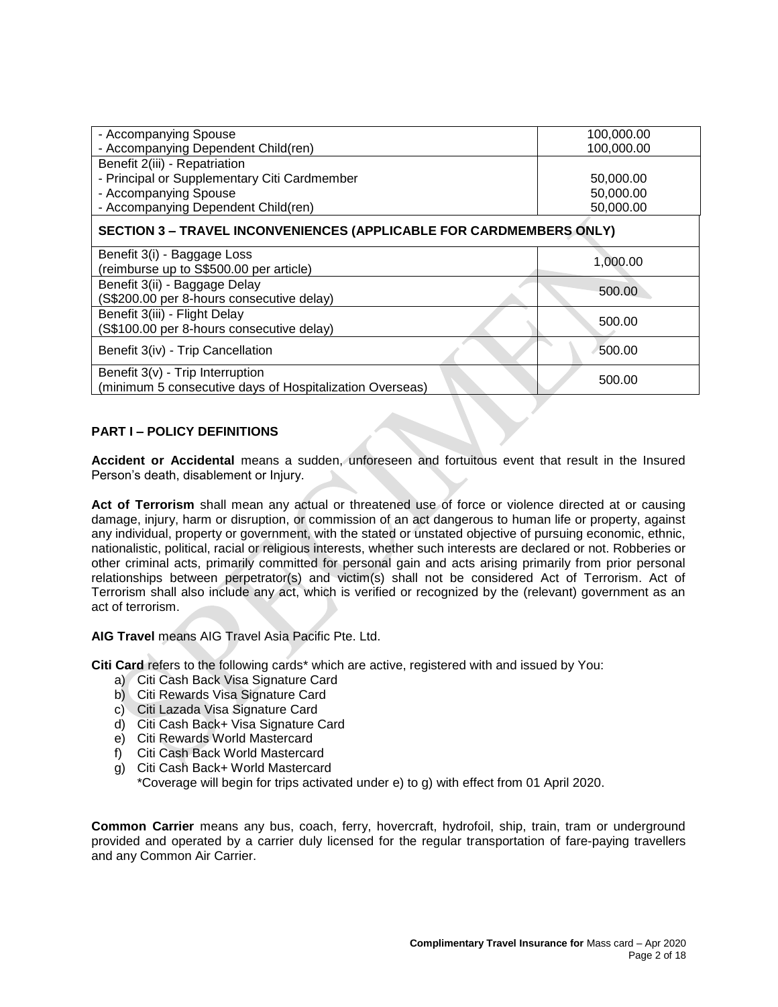| - Accompanying Spouse                                                      | 100,000.00 |  |  |  |
|----------------------------------------------------------------------------|------------|--|--|--|
| - Accompanying Dependent Child(ren)                                        | 100,000.00 |  |  |  |
| Benefit 2(iii) - Repatriation                                              |            |  |  |  |
| - Principal or Supplementary Citi Cardmember                               | 50,000.00  |  |  |  |
| - Accompanying Spouse                                                      | 50,000.00  |  |  |  |
| - Accompanying Dependent Child(ren)                                        | 50,000.00  |  |  |  |
| <b>SECTION 3 - TRAVEL INCONVENIENCES (APPLICABLE FOR CARDMEMBERS ONLY)</b> |            |  |  |  |
| Benefit 3(i) - Baggage Loss                                                | 1,000.00   |  |  |  |
| (reimburse up to S\$500.00 per article)                                    |            |  |  |  |
| Benefit 3(ii) - Baggage Delay                                              | 500.00     |  |  |  |
| (S\$200.00 per 8-hours consecutive delay)                                  |            |  |  |  |
| Benefit 3(iii) - Flight Delay                                              | 500.00     |  |  |  |
| (S\$100.00 per 8-hours consecutive delay)                                  |            |  |  |  |
| Benefit 3(iv) - Trip Cancellation                                          | 500.00     |  |  |  |
| Benefit 3(v) - Trip Interruption                                           | 500.00     |  |  |  |
| (minimum 5 consecutive days of Hospitalization Overseas)                   |            |  |  |  |

# **PART I – POLICY DEFINITIONS**

**Accident or Accidental** means a sudden, unforeseen and fortuitous event that result in the Insured Person's death, disablement or Injury.

**Act of Terrorism** shall mean any actual or threatened use of force or violence directed at or causing damage, injury, harm or disruption, or commission of an act dangerous to human life or property, against any individual, property or government, with the stated or unstated objective of pursuing economic, ethnic, nationalistic, political, racial or religious interests, whether such interests are declared or not. Robberies or other criminal acts, primarily committed for personal gain and acts arising primarily from prior personal relationships between perpetrator(s) and victim(s) shall not be considered Act of Terrorism. Act of Terrorism shall also include any act, which is verified or recognized by the (relevant) government as an act of terrorism.

**AIG Travel** means AIG Travel Asia Pacific Pte. Ltd.

**Citi Card** refers to the following cards\* which are active, registered with and issued by You:

- a) Citi Cash Back Visa Signature Card
- b) Citi Rewards Visa Signature Card
- c) Citi Lazada Visa Signature Card
- d) Citi Cash Back+ Visa Signature Card
- e) Citi Rewards World Mastercard
- f) Citi Cash Back World Mastercard
- g) Citi Cash Back+ World Mastercard

\*Coverage will begin for trips activated under e) to g) with effect from 01 April 2020.

**Common Carrier** means any bus, coach, ferry, hovercraft, hydrofoil, ship, train, tram or underground provided and operated by a carrier duly licensed for the regular transportation of fare-paying travellers and any Common Air Carrier.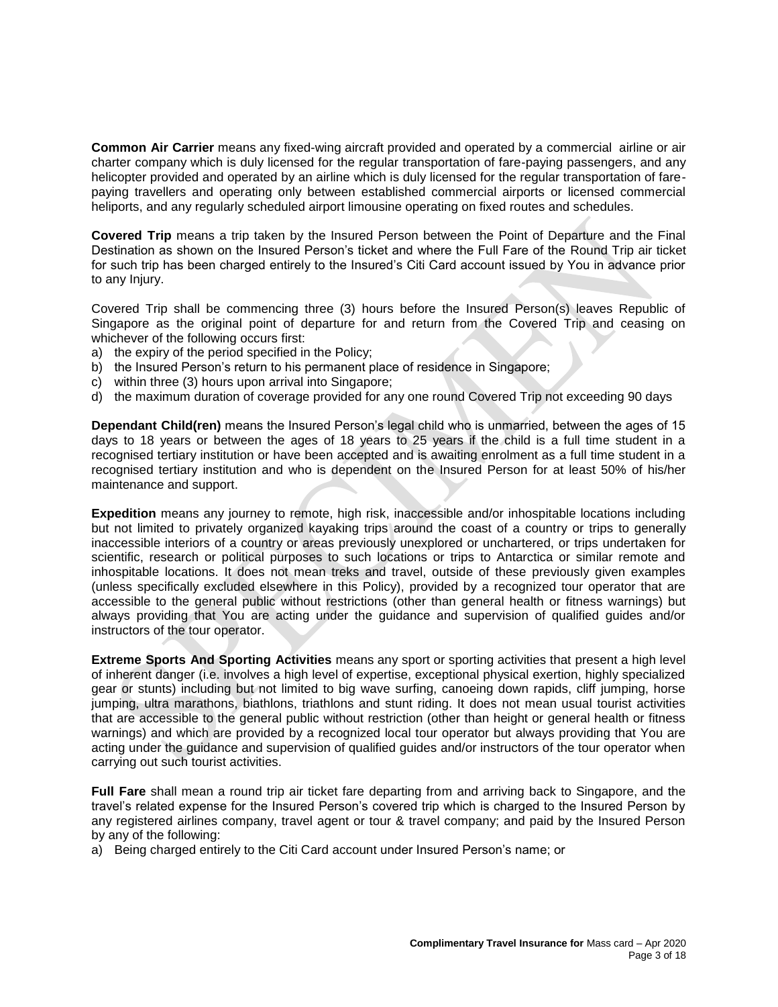**Common Air Carrier** means any fixed-wing aircraft provided and operated by a commercial airline or air charter company which is duly licensed for the regular transportation of fare-paying passengers, and any helicopter provided and operated by an airline which is duly licensed for the regular transportation of farepaying travellers and operating only between established commercial airports or licensed commercial heliports, and any regularly scheduled airport limousine operating on fixed routes and schedules.

**Covered Trip** means a trip taken by the Insured Person between the Point of Departure and the Final Destination as shown on the Insured Person's ticket and where the Full Fare of the Round Trip air ticket for such trip has been charged entirely to the Insured's Citi Card account issued by You in advance prior to any Injury.

Covered Trip shall be commencing three (3) hours before the Insured Person(s) leaves Republic of Singapore as the original point of departure for and return from the Covered Trip and ceasing on whichever of the following occurs first:

- a) the expiry of the period specified in the Policy;
- b) the Insured Person's return to his permanent place of residence in Singapore;
- c) within three (3) hours upon arrival into Singapore;
- d) the maximum duration of coverage provided for any one round Covered Trip not exceeding 90 days

**Dependant Child(ren)** means the Insured Person's legal child who is unmarried, between the ages of 15 days to 18 years or between the ages of 18 years to 25 years if the child is a full time student in a recognised tertiary institution or have been accepted and is awaiting enrolment as a full time student in a recognised tertiary institution and who is dependent on the Insured Person for at least 50% of his/her maintenance and support.

**Expedition** means any journey to remote, high risk, inaccessible and/or inhospitable locations including but not limited to privately organized kayaking trips around the coast of a country or trips to generally inaccessible interiors of a country or areas previously unexplored or unchartered, or trips undertaken for scientific, research or political purposes to such locations or trips to Antarctica or similar remote and inhospitable locations. It does not mean treks and travel, outside of these previously given examples (unless specifically excluded elsewhere in this Policy), provided by a recognized tour operator that are accessible to the general public without restrictions (other than general health or fitness warnings) but always providing that You are acting under the guidance and supervision of qualified guides and/or instructors of the tour operator.

**Extreme Sports And Sporting Activities** means any sport or sporting activities that present a high level of inherent danger (i.e. involves a high level of expertise, exceptional physical exertion, highly specialized gear or stunts) including but not limited to big wave surfing, canoeing down rapids, cliff jumping, horse jumping, ultra marathons, biathlons, triathlons and stunt riding. It does not mean usual tourist activities that are accessible to the general public without restriction (other than height or general health or fitness warnings) and which are provided by a recognized local tour operator but always providing that You are acting under the guidance and supervision of qualified guides and/or instructors of the tour operator when carrying out such tourist activities.

**Full Fare** shall mean a round trip air ticket fare departing from and arriving back to Singapore, and the travel's related expense for the Insured Person's covered trip which is charged to the Insured Person by any registered airlines company, travel agent or tour & travel company; and paid by the Insured Person by any of the following:

a) Being charged entirely to the Citi Card account under Insured Person's name; or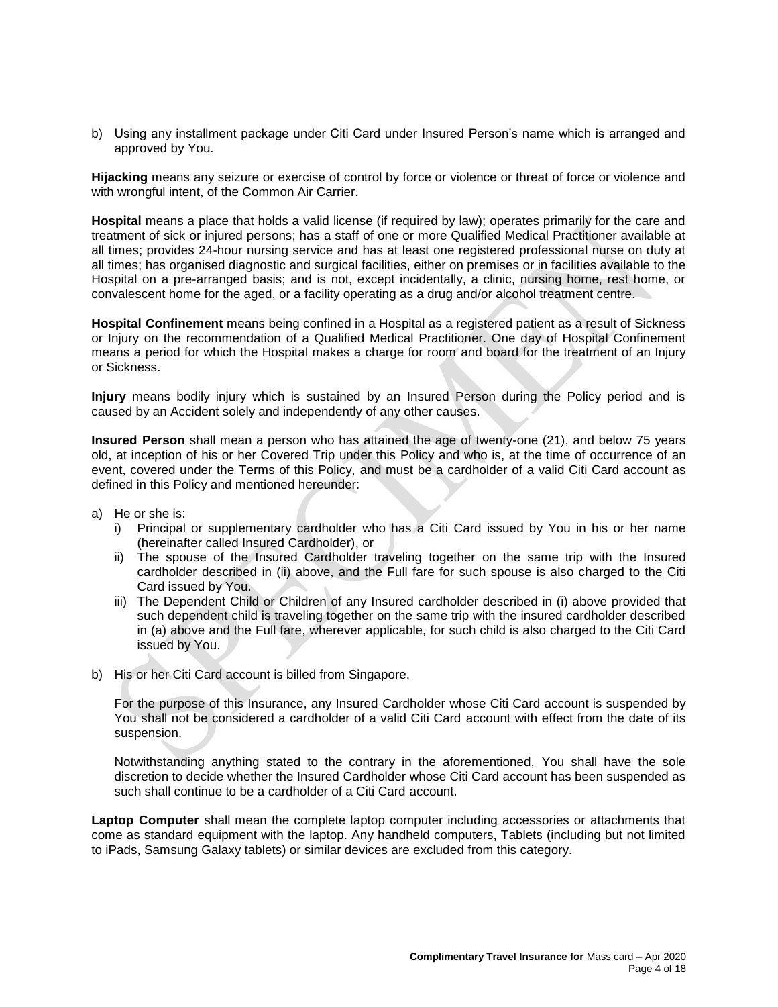b) Using any installment package under Citi Card under Insured Person's name which is arranged and approved by You.

**Hijacking** means any seizure or exercise of control by force or violence or threat of force or violence and with wrongful intent, of the Common Air Carrier.

**Hospital** means a place that holds a valid license (if required by law); operates primarily for the care and treatment of sick or injured persons; has a staff of one or more Qualified Medical Practitioner available at all times; provides 24-hour nursing service and has at least one registered professional nurse on duty at all times; has organised diagnostic and surgical facilities, either on premises or in facilities available to the Hospital on a pre-arranged basis; and is not, except incidentally, a clinic, nursing home, rest home, or convalescent home for the aged, or a facility operating as a drug and/or alcohol treatment centre.

**Hospital Confinement** means being confined in a Hospital as a registered patient as a result of Sickness or Injury on the recommendation of a Qualified Medical Practitioner. One day of Hospital Confinement means a period for which the Hospital makes a charge for room and board for the treatment of an Injury or Sickness.

**Injury** means bodily injury which is sustained by an Insured Person during the Policy period and is caused by an Accident solely and independently of any other causes.

**Insured Person** shall mean a person who has attained the age of twenty-one (21), and below 75 years old, at inception of his or her Covered Trip under this Policy and who is, at the time of occurrence of an event, covered under the Terms of this Policy, and must be a cardholder of a valid Citi Card account as defined in this Policy and mentioned hereunder:

- a) He or she is:
	- i) Principal or supplementary cardholder who has a Citi Card issued by You in his or her name (hereinafter called Insured Cardholder), or
	- ii) The spouse of the Insured Cardholder traveling together on the same trip with the Insured cardholder described in (ii) above, and the Full fare for such spouse is also charged to the Citi Card issued by You.
	- iii) The Dependent Child or Children of any Insured cardholder described in (i) above provided that such dependent child is traveling together on the same trip with the insured cardholder described in (a) above and the Full fare, wherever applicable, for such child is also charged to the Citi Card issued by You.
- b) His or her Citi Card account is billed from Singapore.

For the purpose of this Insurance, any Insured Cardholder whose Citi Card account is suspended by You shall not be considered a cardholder of a valid Citi Card account with effect from the date of its suspension.

Notwithstanding anything stated to the contrary in the aforementioned, You shall have the sole discretion to decide whether the Insured Cardholder whose Citi Card account has been suspended as such shall continue to be a cardholder of a Citi Card account.

**Laptop Computer** shall mean the complete laptop computer including accessories or attachments that come as standard equipment with the laptop. Any handheld computers, Tablets (including but not limited to iPads, Samsung Galaxy tablets) or similar devices are excluded from this category.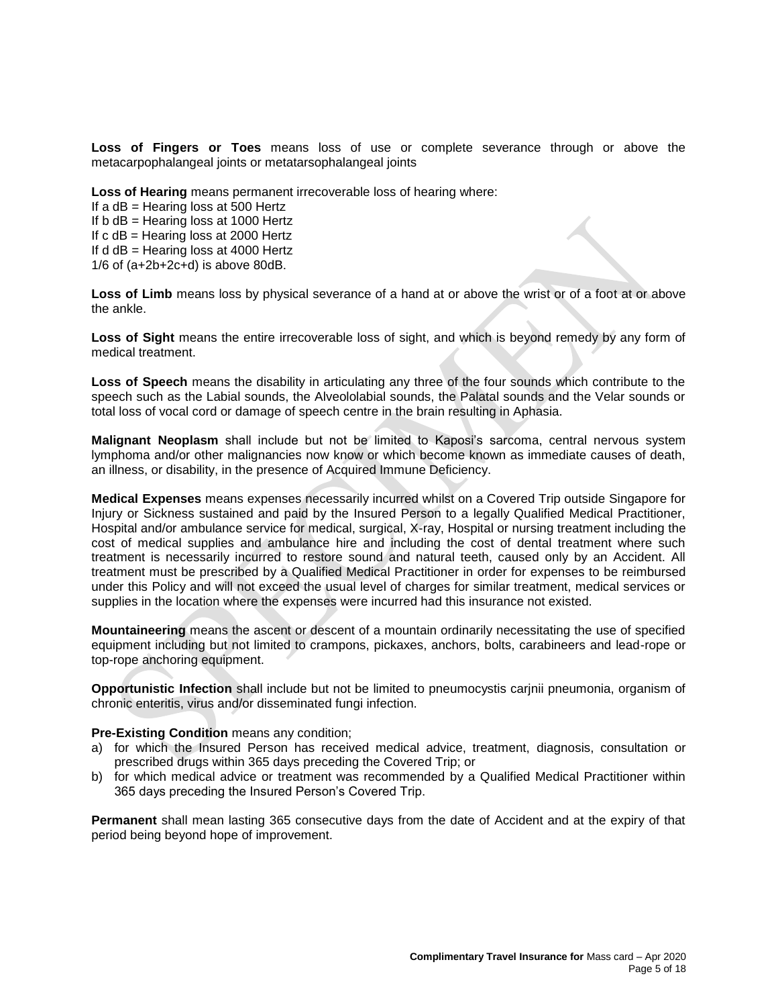**Loss of Fingers or Toes** means loss of use or complete severance through or above the metacarpophalangeal joints or metatarsophalangeal joints

**Loss of Hearing** means permanent irrecoverable loss of hearing where:

If a  $dB$  = Hearing loss at 500 Hertz If  $b$  dB = Hearing loss at 1000 Hertz If c dB = Hearing loss at 2000 Hertz If  $d$  dB = Hearing loss at 4000 Hertz 1/6 of (a+2b+2c+d) is above 80dB.

**Loss of Limb** means loss by physical severance of a hand at or above the wrist or of a foot at or above the ankle.

**Loss of Sight** means the entire irrecoverable loss of sight, and which is beyond remedy by any form of medical treatment.

**Loss of Speech** means the disability in articulating any three of the four sounds which contribute to the speech such as the Labial sounds, the Alveololabial sounds, the Palatal sounds and the Velar sounds or total loss of vocal cord or damage of speech centre in the brain resulting in Aphasia.

**Malignant Neoplasm** shall include but not be limited to Kaposi's sarcoma, central nervous system lymphoma and/or other malignancies now know or which become known as immediate causes of death, an illness, or disability, in the presence of Acquired Immune Deficiency.

**Medical Expenses** means expenses necessarily incurred whilst on a Covered Trip outside Singapore for Injury or Sickness sustained and paid by the Insured Person to a legally Qualified Medical Practitioner, Hospital and/or ambulance service for medical, surgical, X-ray, Hospital or nursing treatment including the cost of medical supplies and ambulance hire and including the cost of dental treatment where such treatment is necessarily incurred to restore sound and natural teeth, caused only by an Accident. All treatment must be prescribed by a Qualified Medical Practitioner in order for expenses to be reimbursed under this Policy and will not exceed the usual level of charges for similar treatment, medical services or supplies in the location where the expenses were incurred had this insurance not existed.

**Mountaineering** means the ascent or descent of a mountain ordinarily necessitating the use of specified equipment including but not limited to crampons, pickaxes, anchors, bolts, carabineers and lead-rope or top-rope anchoring equipment.

**Opportunistic Infection** shall include but not be limited to pneumocystis carjnii pneumonia, organism of chronic enteritis, virus and/or disseminated fungi infection.

## **Pre-Existing Condition** means any condition;

- a) for which the Insured Person has received medical advice, treatment, diagnosis, consultation or prescribed drugs within 365 days preceding the Covered Trip; or
- b) for which medical advice or treatment was recommended by a Qualified Medical Practitioner within 365 days preceding the Insured Person's Covered Trip.

**Permanent** shall mean lasting 365 consecutive days from the date of Accident and at the expiry of that period being beyond hope of improvement.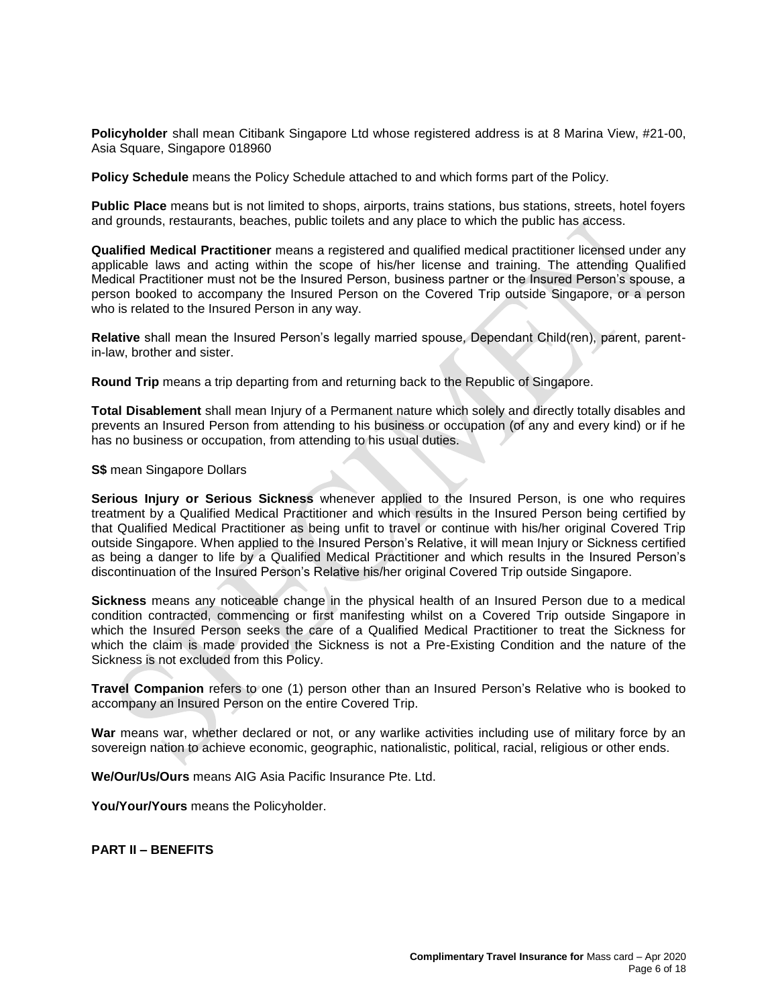**Policyholder** shall mean Citibank Singapore Ltd whose registered address is at 8 Marina View, #21-00, Asia Square, Singapore 018960

**Policy Schedule** means the Policy Schedule attached to and which forms part of the Policy.

**Public Place** means but is not limited to shops, airports, trains stations, bus stations, streets, hotel foyers and grounds, restaurants, beaches, public toilets and any place to which the public has access.

**Qualified Medical Practitioner** means a registered and qualified medical practitioner licensed under any applicable laws and acting within the scope of his/her license and training. The attending Qualified Medical Practitioner must not be the Insured Person, business partner or the Insured Person's spouse, a person booked to accompany the Insured Person on the Covered Trip outside Singapore, or a person who is related to the Insured Person in any way.

**Relative** shall mean the Insured Person's legally married spouse, Dependant Child(ren), parent, parentin-law, brother and sister.

**Round Trip** means a trip departing from and returning back to the Republic of Singapore.

**Total Disablement** shall mean Injury of a Permanent nature which solely and directly totally disables and prevents an Insured Person from attending to his business or occupation (of any and every kind) or if he has no business or occupation, from attending to his usual duties.

**S\$** mean Singapore Dollars

**Serious Injury or Serious Sickness** whenever applied to the Insured Person, is one who requires treatment by a Qualified Medical Practitioner and which results in the Insured Person being certified by that Qualified Medical Practitioner as being unfit to travel or continue with his/her original Covered Trip outside Singapore. When applied to the Insured Person's Relative, it will mean Injury or Sickness certified as being a danger to life by a Qualified Medical Practitioner and which results in the Insured Person's discontinuation of the Insured Person's Relative his/her original Covered Trip outside Singapore.

**Sickness** means any noticeable change in the physical health of an Insured Person due to a medical condition contracted, commencing or first manifesting whilst on a Covered Trip outside Singapore in which the Insured Person seeks the care of a Qualified Medical Practitioner to treat the Sickness for which the claim is made provided the Sickness is not a Pre-Existing Condition and the nature of the Sickness is not excluded from this Policy.

**Travel Companion** refers to one (1) person other than an Insured Person's Relative who is booked to accompany an Insured Person on the entire Covered Trip.

War means war, whether declared or not, or any warlike activities including use of military force by an sovereign nation to achieve economic, geographic, nationalistic, political, racial, religious or other ends.

**We/Our/Us/Ours** means AIG Asia Pacific Insurance Pte. Ltd.

You/Your/Yours means the Policyholder.

**PART II – BENEFITS**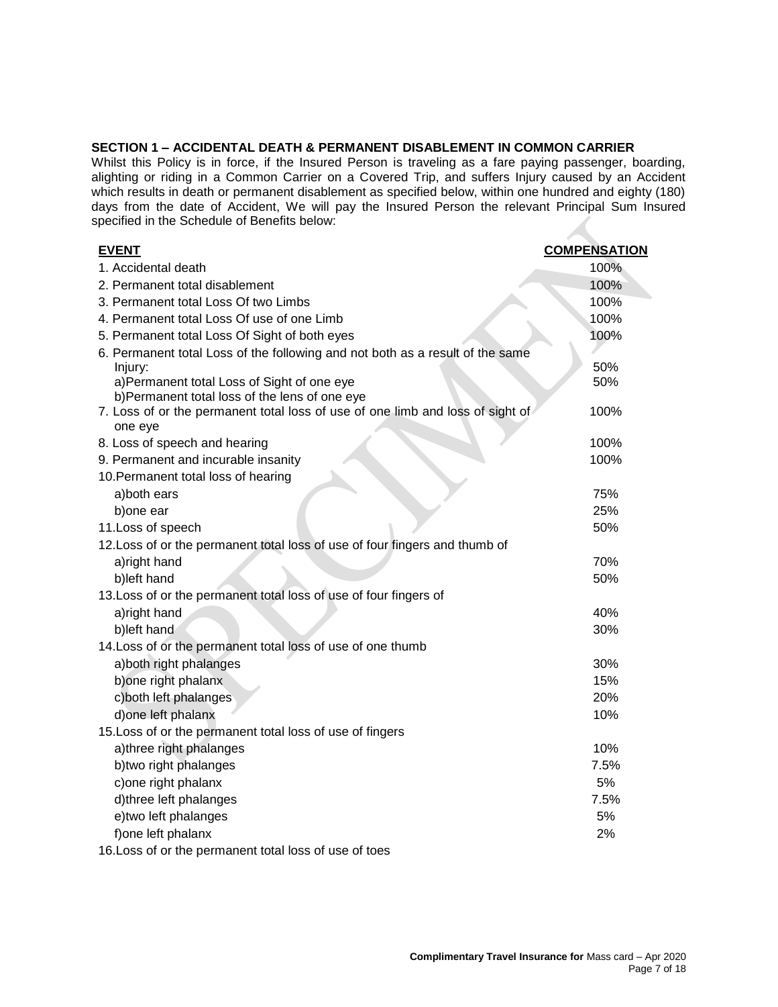## **SECTION 1 – ACCIDENTAL DEATH & PERMANENT DISABLEMENT IN COMMON CARRIER**

Whilst this Policy is in force, if the Insured Person is traveling as a fare paying passenger, boarding, alighting or riding in a Common Carrier on a Covered Trip, and suffers Injury caused by an Accident which results in death or permanent disablement as specified below, within one hundred and eighty (180) days from the date of Accident, We will pay the Insured Person the relevant Principal Sum Insured specified in the Schedule of Benefits below:

| <b>EVENT</b>                                                                                                                    | <b>COMPENSATION</b> |
|---------------------------------------------------------------------------------------------------------------------------------|---------------------|
| 1. Accidental death                                                                                                             | 100%                |
| 2. Permanent total disablement                                                                                                  | 100%                |
| 3. Permanent total Loss Of two Limbs                                                                                            | 100%                |
| 4. Permanent total Loss Of use of one Limb                                                                                      | 100%                |
| 5. Permanent total Loss Of Sight of both eyes                                                                                   | 100%                |
| 6. Permanent total Loss of the following and not both as a result of the same                                                   |                     |
| Injury:                                                                                                                         | 50%                 |
| a)Permanent total Loss of Sight of one eye                                                                                      | 50%                 |
| b)Permanent total loss of the lens of one eye<br>7. Loss of or the permanent total loss of use of one limb and loss of sight of | 100%                |
| one eye                                                                                                                         |                     |
| 8. Loss of speech and hearing                                                                                                   | 100%                |
| 9. Permanent and incurable insanity                                                                                             | 100%                |
| 10. Permanent total loss of hearing                                                                                             |                     |
| a)both ears                                                                                                                     | 75%                 |
| b) one ear                                                                                                                      | 25%                 |
| 11. Loss of speech                                                                                                              | 50%                 |
| 12. Loss of or the permanent total loss of use of four fingers and thumb of                                                     |                     |
| a)right hand                                                                                                                    | 70%                 |
| b)left hand                                                                                                                     | 50%                 |
| 13. Loss of or the permanent total loss of use of four fingers of                                                               |                     |
| a)right hand                                                                                                                    | 40%                 |
| b)left hand                                                                                                                     | 30%                 |
| 14. Loss of or the permanent total loss of use of one thumb                                                                     |                     |
| a) both right phalanges                                                                                                         | 30%                 |
| b) one right phalanx                                                                                                            | 15%                 |
| c) both left phalanges                                                                                                          | <b>20%</b>          |
| d) one left phalanx                                                                                                             | 10%                 |
| 15. Loss of or the permanent total loss of use of fingers                                                                       |                     |
| a)three right phalanges                                                                                                         | 10%                 |
| b)two right phalanges                                                                                                           | 7.5%                |
| c) one right phalanx                                                                                                            | 5%                  |
| d)three left phalanges                                                                                                          | 7.5%                |
| e)two left phalanges                                                                                                            | 5%                  |
| f) one left phalanx                                                                                                             | 2%                  |
| 16. Loss of or the permanent total loss of use of toes                                                                          |                     |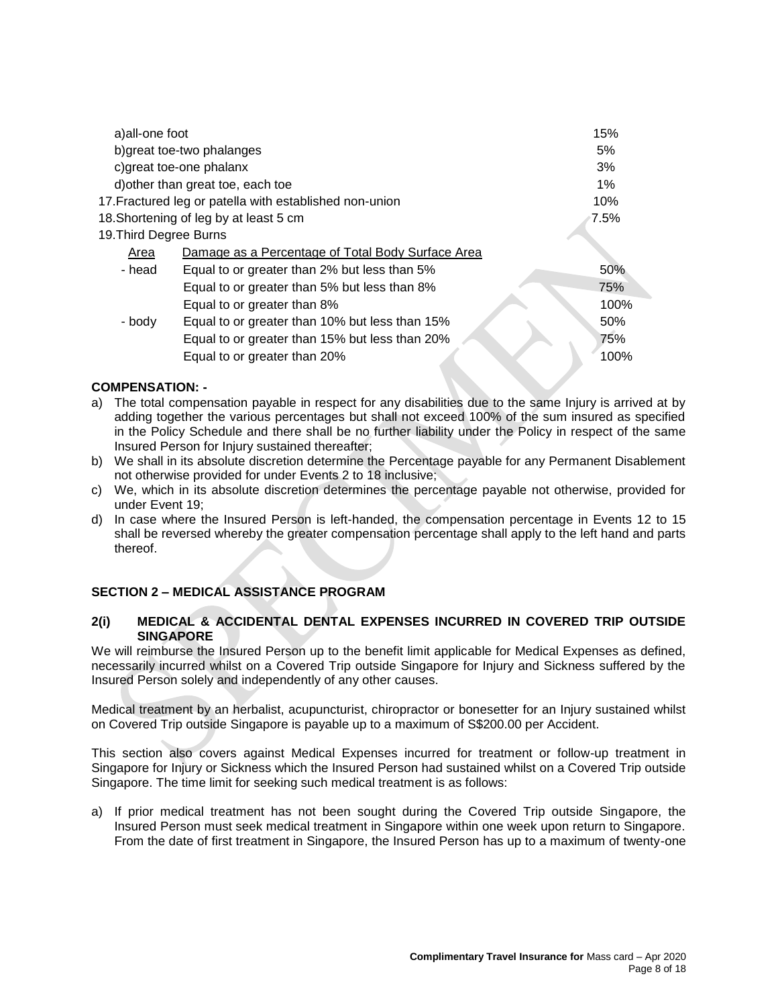| a)all-one foot                    |                                                         | 15%     |
|-----------------------------------|---------------------------------------------------------|---------|
| b) great toe-two phalanges        |                                                         | 5%      |
| c) great toe-one phalanx          |                                                         | 3%      |
| d) other than great toe, each toe |                                                         | 1%      |
|                                   | 17. Fractured leg or patella with established non-union | 10%     |
|                                   | 18. Shortening of leg by at least 5 cm                  | $7.5\%$ |
| 19. Third Degree Burns            |                                                         |         |
| Area                              | Damage as a Percentage of Total Body Surface Area       |         |
| - head                            | Equal to or greater than 2% but less than 5%            | 50%     |
|                                   | Equal to or greater than 5% but less than 8%            | 75%     |
|                                   | Equal to or greater than 8%                             | 100%    |
| - body                            | Equal to or greater than 10% but less than 15%          | 50%     |
|                                   | Equal to or greater than 15% but less than 20%          | 75%     |
|                                   | Equal to or greater than 20%                            | 100%    |
|                                   |                                                         |         |

# **COMPENSATION: -**

- a) The total compensation payable in respect for any disabilities due to the same Injury is arrived at by adding together the various percentages but shall not exceed 100% of the sum insured as specified in the Policy Schedule and there shall be no further liability under the Policy in respect of the same Insured Person for Injury sustained thereafter;
- b) We shall in its absolute discretion determine the Percentage payable for any Permanent Disablement not otherwise provided for under Events 2 to 18 inclusive;
- c) We, which in its absolute discretion determines the percentage payable not otherwise, provided for under Event 19;
- d) In case where the Insured Person is left-handed, the compensation percentage in Events 12 to 15 shall be reversed whereby the greater compensation percentage shall apply to the left hand and parts thereof.

# **SECTION 2 – MEDICAL ASSISTANCE PROGRAM**

## **2(i) MEDICAL & ACCIDENTAL DENTAL EXPENSES INCURRED IN COVERED TRIP OUTSIDE SINGAPORE**

We will reimburse the Insured Person up to the benefit limit applicable for Medical Expenses as defined, necessarily incurred whilst on a Covered Trip outside Singapore for Injury and Sickness suffered by the Insured Person solely and independently of any other causes.

Medical treatment by an herbalist, acupuncturist, chiropractor or bonesetter for an Injury sustained whilst on Covered Trip outside Singapore is payable up to a maximum of S\$200.00 per Accident.

This section also covers against Medical Expenses incurred for treatment or follow-up treatment in Singapore for Injury or Sickness which the Insured Person had sustained whilst on a Covered Trip outside Singapore. The time limit for seeking such medical treatment is as follows:

a) If prior medical treatment has not been sought during the Covered Trip outside Singapore, the Insured Person must seek medical treatment in Singapore within one week upon return to Singapore. From the date of first treatment in Singapore, the Insured Person has up to a maximum of twenty-one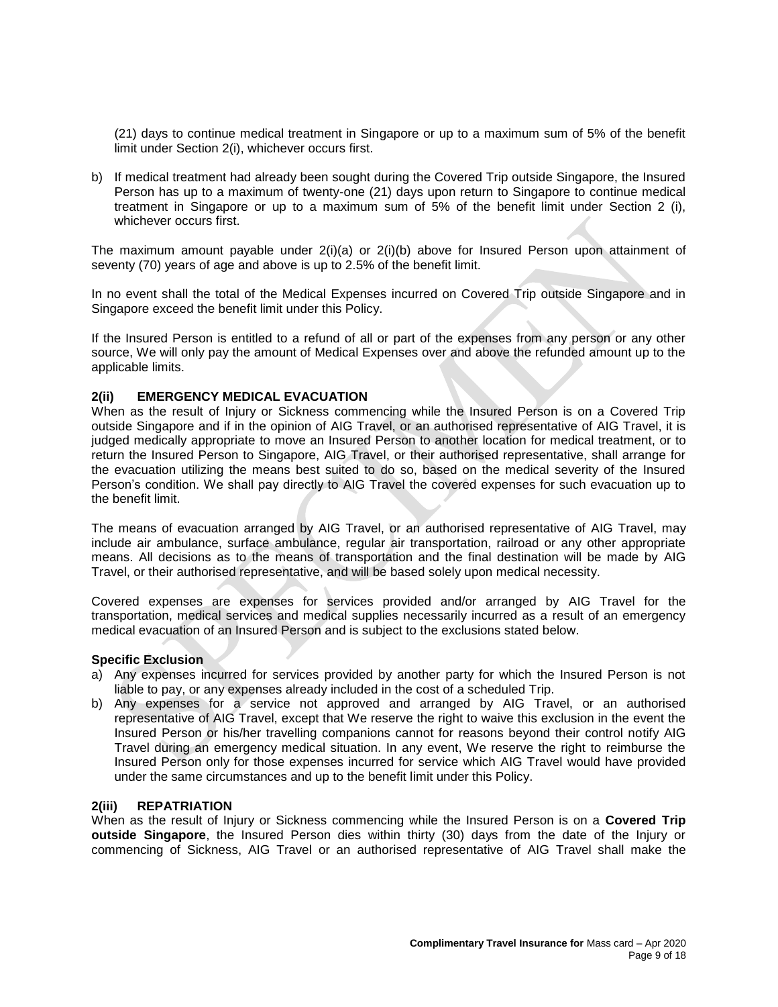(21) days to continue medical treatment in Singapore or up to a maximum sum of 5% of the benefit limit under Section 2(i), whichever occurs first.

b) If medical treatment had already been sought during the Covered Trip outside Singapore, the Insured Person has up to a maximum of twenty-one (21) days upon return to Singapore to continue medical treatment in Singapore or up to a maximum sum of 5% of the benefit limit under Section 2 (i), whichever occurs first.

The maximum amount payable under  $2(i)(a)$  or  $2(i)(b)$  above for Insured Person upon attainment of seventy (70) years of age and above is up to 2.5% of the benefit limit.

In no event shall the total of the Medical Expenses incurred on Covered Trip outside Singapore and in Singapore exceed the benefit limit under this Policy.

If the Insured Person is entitled to a refund of all or part of the expenses from any person or any other source, We will only pay the amount of Medical Expenses over and above the refunded amount up to the applicable limits.

## **2(ii) EMERGENCY MEDICAL EVACUATION**

When as the result of Injury or Sickness commencing while the Insured Person is on a Covered Trip outside Singapore and if in the opinion of AIG Travel, or an authorised representative of AIG Travel, it is judged medically appropriate to move an Insured Person to another location for medical treatment, or to return the Insured Person to Singapore, AIG Travel, or their authorised representative, shall arrange for the evacuation utilizing the means best suited to do so, based on the medical severity of the Insured Person's condition. We shall pay directly to AIG Travel the covered expenses for such evacuation up to the benefit limit.

The means of evacuation arranged by AIG Travel, or an authorised representative of AIG Travel, may include air ambulance, surface ambulance, regular air transportation, railroad or any other appropriate means. All decisions as to the means of transportation and the final destination will be made by AIG Travel, or their authorised representative, and will be based solely upon medical necessity.

Covered expenses are expenses for services provided and/or arranged by AIG Travel for the transportation, medical services and medical supplies necessarily incurred as a result of an emergency medical evacuation of an Insured Person and is subject to the exclusions stated below.

## **Specific Exclusion**

- a) Any expenses incurred for services provided by another party for which the Insured Person is not liable to pay, or any expenses already included in the cost of a scheduled Trip.
- b) Any expenses for a service not approved and arranged by AIG Travel, or an authorised representative of AIG Travel, except that We reserve the right to waive this exclusion in the event the Insured Person or his/her travelling companions cannot for reasons beyond their control notify AIG Travel during an emergency medical situation. In any event, We reserve the right to reimburse the Insured Person only for those expenses incurred for service which AIG Travel would have provided under the same circumstances and up to the benefit limit under this Policy.

#### **2(iii) REPATRIATION**

When as the result of Injury or Sickness commencing while the Insured Person is on a **Covered Trip outside Singapore**, the Insured Person dies within thirty (30) days from the date of the Injury or commencing of Sickness, AIG Travel or an authorised representative of AIG Travel shall make the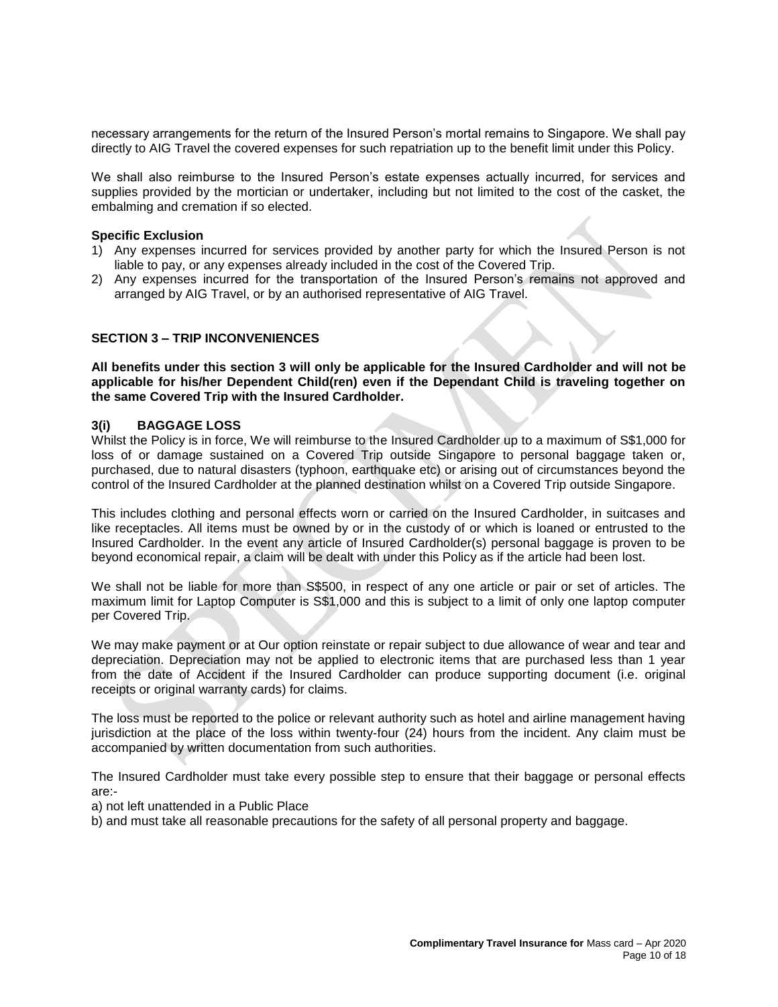necessary arrangements for the return of the Insured Person's mortal remains to Singapore. We shall pay directly to AIG Travel the covered expenses for such repatriation up to the benefit limit under this Policy.

We shall also reimburse to the Insured Person's estate expenses actually incurred, for services and supplies provided by the mortician or undertaker, including but not limited to the cost of the casket, the embalming and cremation if so elected.

#### **Specific Exclusion**

- 1) Any expenses incurred for services provided by another party for which the Insured Person is not liable to pay, or any expenses already included in the cost of the Covered Trip.
- 2) Any expenses incurred for the transportation of the Insured Person's remains not approved and arranged by AIG Travel, or by an authorised representative of AIG Travel.

## **SECTION 3 – TRIP INCONVENIENCES**

**All benefits under this section 3 will only be applicable for the Insured Cardholder and will not be applicable for his/her Dependent Child(ren) even if the Dependant Child is traveling together on the same Covered Trip with the Insured Cardholder.** 

#### **3(i) BAGGAGE LOSS**

Whilst the Policy is in force, We will reimburse to the Insured Cardholder up to a maximum of S\$1,000 for loss of or damage sustained on a Covered Trip outside Singapore to personal baggage taken or, purchased, due to natural disasters (typhoon, earthquake etc) or arising out of circumstances beyond the control of the Insured Cardholder at the planned destination whilst on a Covered Trip outside Singapore.

This includes clothing and personal effects worn or carried on the Insured Cardholder, in suitcases and like receptacles. All items must be owned by or in the custody of or which is loaned or entrusted to the Insured Cardholder. In the event any article of Insured Cardholder(s) personal baggage is proven to be beyond economical repair, a claim will be dealt with under this Policy as if the article had been lost.

We shall not be liable for more than S\$500, in respect of any one article or pair or set of articles. The maximum limit for Laptop Computer is S\$1,000 and this is subject to a limit of only one laptop computer per Covered Trip.

We may make payment or at Our option reinstate or repair subject to due allowance of wear and tear and depreciation. Depreciation may not be applied to electronic items that are purchased less than 1 year from the date of Accident if the Insured Cardholder can produce supporting document (i.e. original receipts or original warranty cards) for claims.

The loss must be reported to the police or relevant authority such as hotel and airline management having jurisdiction at the place of the loss within twenty-four (24) hours from the incident. Any claim must be accompanied by written documentation from such authorities.

The Insured Cardholder must take every possible step to ensure that their baggage or personal effects are:-

- a) not left unattended in a Public Place
- b) and must take all reasonable precautions for the safety of all personal property and baggage.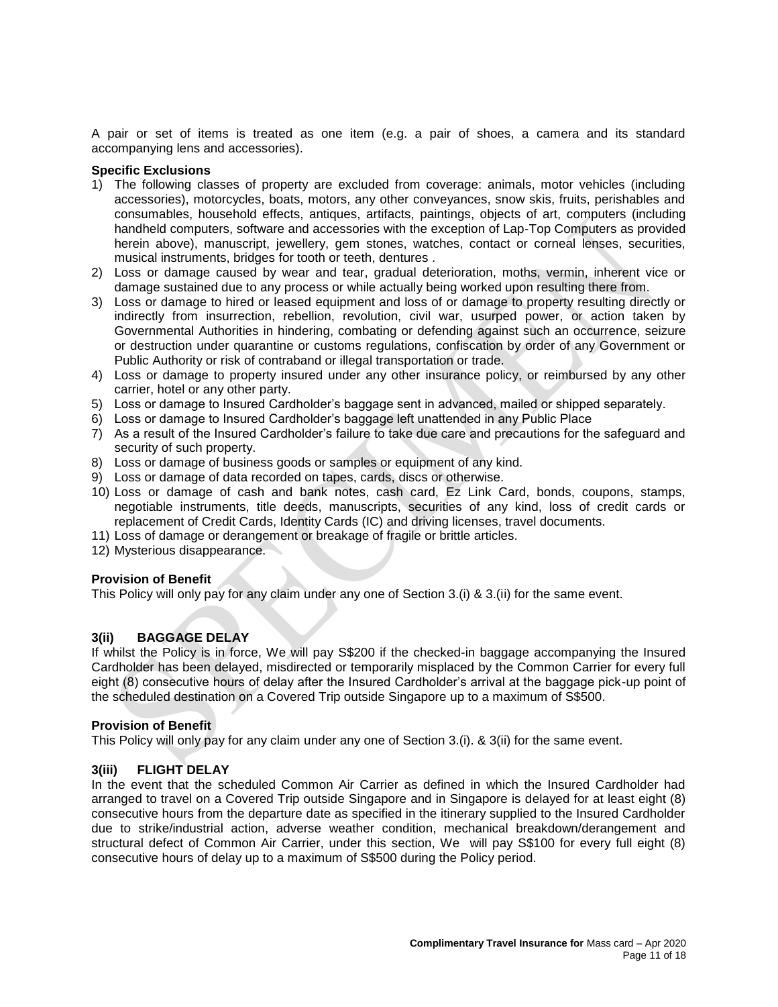A pair or set of items is treated as one item (e.g. a pair of shoes, a camera and its standard accompanying lens and accessories).

#### **Specific Exclusions**

- 1) The following classes of property are excluded from coverage: animals, motor vehicles (including accessories), motorcycles, boats, motors, any other conveyances, snow skis, fruits, perishables and consumables, household effects, antiques, artifacts, paintings, objects of art, computers (including handheld computers, software and accessories with the exception of Lap-Top Computers as provided herein above), manuscript, jewellery, gem stones, watches, contact or corneal lenses, securities, musical instruments, bridges for tooth or teeth, dentures .
- 2) Loss or damage caused by wear and tear, gradual deterioration, moths, vermin, inherent vice or damage sustained due to any process or while actually being worked upon resulting there from.
- 3) Loss or damage to hired or leased equipment and loss of or damage to property resulting directly or indirectly from insurrection, rebellion, revolution, civil war, usurped power, or action taken by Governmental Authorities in hindering, combating or defending against such an occurrence, seizure or destruction under quarantine or customs regulations, confiscation by order of any Government or Public Authority or risk of contraband or illegal transportation or trade.
- 4) Loss or damage to property insured under any other insurance policy, or reimbursed by any other carrier, hotel or any other party.
- 5) Loss or damage to Insured Cardholder's baggage sent in advanced, mailed or shipped separately.
- 6) Loss or damage to Insured Cardholder's baggage left unattended in any Public Place
- 7) As a result of the Insured Cardholder's failure to take due care and precautions for the safeguard and security of such property.
- 8) Loss or damage of business goods or samples or equipment of any kind.
- 9) Loss or damage of data recorded on tapes, cards, discs or otherwise.
- 10) Loss or damage of cash and bank notes, cash card, Ez Link Card, bonds, coupons, stamps, negotiable instruments, title deeds, manuscripts, securities of any kind, loss of credit cards or replacement of Credit Cards, Identity Cards (IC) and driving licenses, travel documents.
- 11) Loss of damage or derangement or breakage of fragile or brittle articles.
- 12) Mysterious disappearance.

## **Provision of Benefit**

This Policy will only pay for any claim under any one of Section 3.(i) & 3.(ii) for the same event.

## **3(ii) BAGGAGE DELAY**

If whilst the Policy is in force, We will pay S\$200 if the checked-in baggage accompanying the Insured Cardholder has been delayed, misdirected or temporarily misplaced by the Common Carrier for every full eight (8) consecutive hours of delay after the Insured Cardholder's arrival at the baggage pick-up point of the scheduled destination on a Covered Trip outside Singapore up to a maximum of S\$500.

#### **Provision of Benefit**

This Policy will only pay for any claim under any one of Section 3.(i). & 3(ii) for the same event.

## **3(iii) FLIGHT DELAY**

In the event that the scheduled Common Air Carrier as defined in which the Insured Cardholder had arranged to travel on a Covered Trip outside Singapore and in Singapore is delayed for at least eight (8) consecutive hours from the departure date as specified in the itinerary supplied to the Insured Cardholder due to strike/industrial action, adverse weather condition, mechanical breakdown/derangement and structural defect of Common Air Carrier, under this section, We will pay S\$100 for every full eight (8) consecutive hours of delay up to a maximum of S\$500 during the Policy period.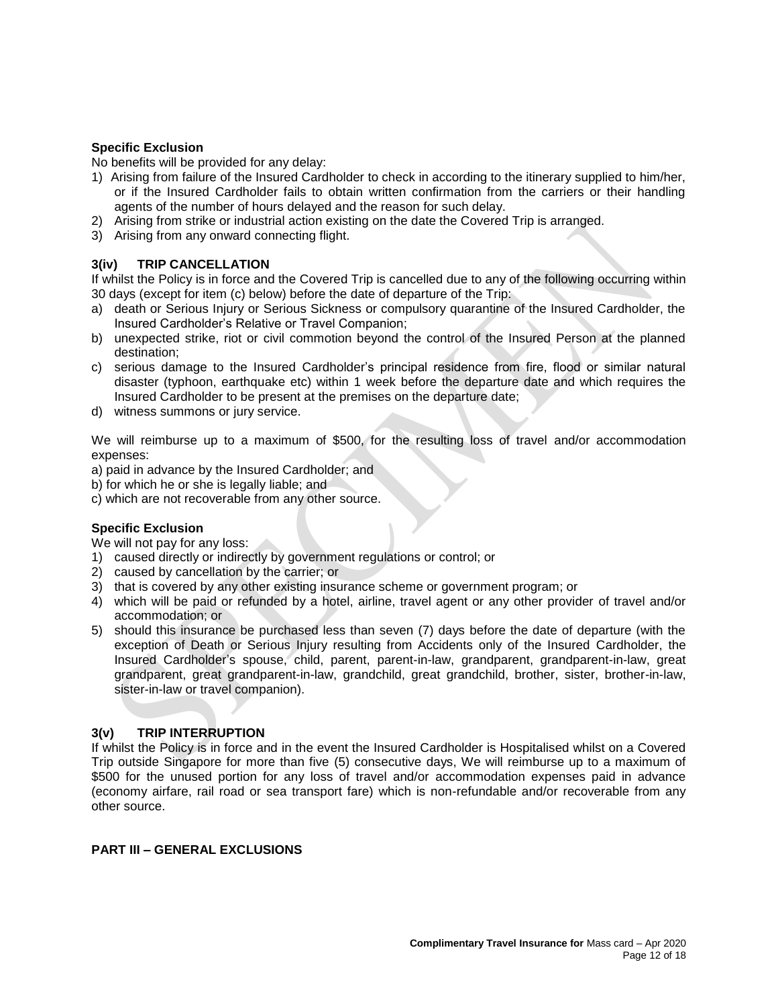# **Specific Exclusion**

No benefits will be provided for any delay:

- 1) Arising from failure of the Insured Cardholder to check in according to the itinerary supplied to him/her, or if the Insured Cardholder fails to obtain written confirmation from the carriers or their handling agents of the number of hours delayed and the reason for such delay.
- 2) Arising from strike or industrial action existing on the date the Covered Trip is arranged.
- 3) Arising from any onward connecting flight.

# **3(iv) TRIP CANCELLATION**

If whilst the Policy is in force and the Covered Trip is cancelled due to any of the following occurring within 30 days (except for item (c) below) before the date of departure of the Trip:

- a) death or Serious Injury or Serious Sickness or compulsory quarantine of the Insured Cardholder, the Insured Cardholder's Relative or Travel Companion;
- b) unexpected strike, riot or civil commotion beyond the control of the Insured Person at the planned destination;
- c) serious damage to the Insured Cardholder's principal residence from fire, flood or similar natural disaster (typhoon, earthquake etc) within 1 week before the departure date and which requires the Insured Cardholder to be present at the premises on the departure date;
- d) witness summons or jury service.

We will reimburse up to a maximum of \$500, for the resulting loss of travel and/or accommodation expenses:

a) paid in advance by the Insured Cardholder; and

b) for which he or she is legally liable; and

c) which are not recoverable from any other source.

## **Specific Exclusion**

We will not pay for any loss:

- 1) caused directly or indirectly by government regulations or control; or
- 2) caused by cancellation by the carrier; or
- 3) that is covered by any other existing insurance scheme or government program; or
- 4) which will be paid or refunded by a hotel, airline, travel agent or any other provider of travel and/or accommodation; or
- 5) should this insurance be purchased less than seven (7) days before the date of departure (with the exception of Death or Serious Injury resulting from Accidents only of the Insured Cardholder, the Insured Cardholder's spouse, child, parent, parent-in-law, grandparent, grandparent-in-law, great grandparent, great grandparent-in-law, grandchild, great grandchild, brother, sister, brother-in-law, sister-in-law or travel companion).

## **3(v) TRIP INTERRUPTION**

If whilst the Policy is in force and in the event the Insured Cardholder is Hospitalised whilst on a Covered Trip outside Singapore for more than five (5) consecutive days, We will reimburse up to a maximum of \$500 for the unused portion for any loss of travel and/or accommodation expenses paid in advance (economy airfare, rail road or sea transport fare) which is non-refundable and/or recoverable from any other source.

## **PART III – GENERAL EXCLUSIONS**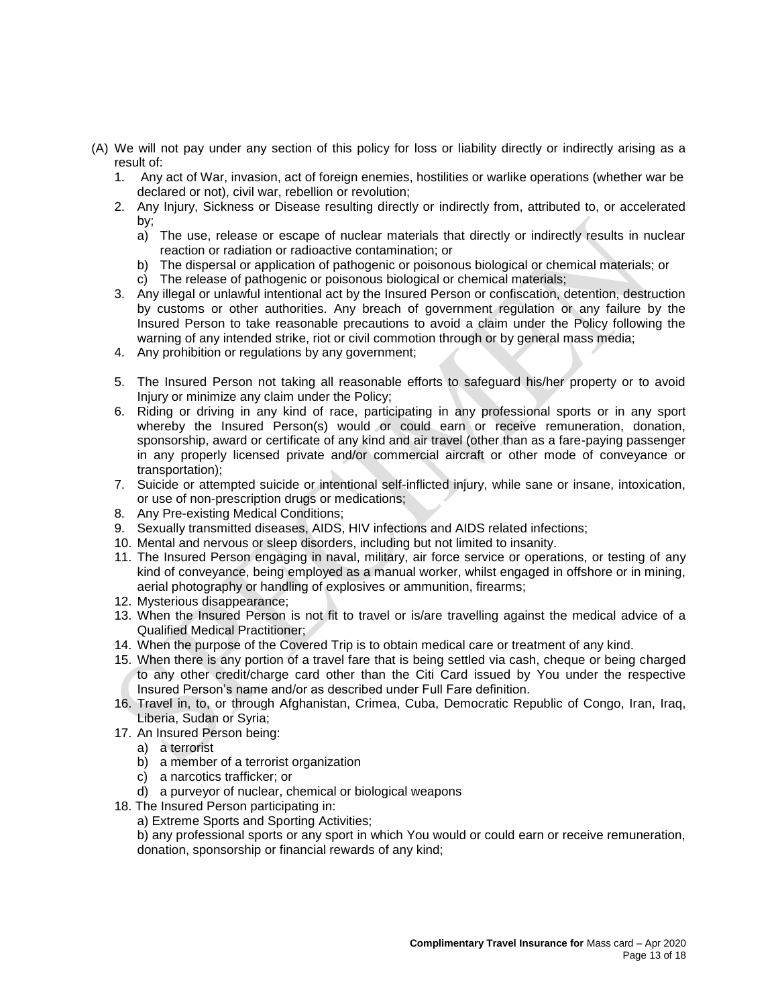- (A) We will not pay under any section of this policy for loss or liability directly or indirectly arising as a result of:
	- 1. Any act of War, invasion, act of foreign enemies, hostilities or warlike operations (whether war be declared or not), civil war, rebellion or revolution;
	- 2. Any Injury, Sickness or Disease resulting directly or indirectly from, attributed to, or accelerated by;
		- a) The use, release or escape of nuclear materials that directly or indirectly results in nuclear reaction or radiation or radioactive contamination; or
		- b) The dispersal or application of pathogenic or poisonous biological or chemical materials; or
		- c) The release of pathogenic or poisonous biological or chemical materials;
	- 3. Any illegal or unlawful intentional act by the Insured Person or confiscation, detention, destruction by customs or other authorities. Any breach of government regulation or any failure by the Insured Person to take reasonable precautions to avoid a claim under the Policy following the warning of any intended strike, riot or civil commotion through or by general mass media;
	- 4. Any prohibition or regulations by any government;
	- 5. The Insured Person not taking all reasonable efforts to safeguard his/her property or to avoid Injury or minimize any claim under the Policy;
	- 6. Riding or driving in any kind of race, participating in any professional sports or in any sport whereby the Insured Person(s) would or could earn or receive remuneration, donation, sponsorship, award or certificate of any kind and air travel (other than as a fare-paying passenger in any properly licensed private and/or commercial aircraft or other mode of conveyance or transportation);
	- 7. Suicide or attempted suicide or intentional self-inflicted injury, while sane or insane, intoxication, or use of non-prescription drugs or medications;
	- 8. Any Pre-existing Medical Conditions;
	- 9. Sexually transmitted diseases, AIDS, HIV infections and AIDS related infections;
	- 10. Mental and nervous or sleep disorders, including but not limited to insanity.
	- 11. The Insured Person engaging in naval, military, air force service or operations, or testing of any kind of conveyance, being employed as a manual worker, whilst engaged in offshore or in mining, aerial photography or handling of explosives or ammunition, firearms;
	- 12. Mysterious disappearance;
	- 13. When the Insured Person is not fit to travel or is/are travelling against the medical advice of a Qualified Medical Practitioner;
	- 14. When the purpose of the Covered Trip is to obtain medical care or treatment of any kind.
	- 15. When there is any portion of a travel fare that is being settled via cash, cheque or being charged to any other credit/charge card other than the Citi Card issued by You under the respective Insured Person's name and/or as described under Full Fare definition.
	- 16. Travel in, to, or through Afghanistan, Crimea, Cuba, Democratic Republic of Congo, Iran, Iraq, Liberia, Sudan or Syria;
	- 17. An Insured Person being:
		- a) a terrorist
		- b) a member of a terrorist organization
		- c) a narcotics trafficker; or
		- d) a purveyor of nuclear, chemical or biological weapons
	- 18. The Insured Person participating in:
		- a) Extreme Sports and Sporting Activities;

b) any professional sports or any sport in which You would or could earn or receive remuneration, donation, sponsorship or financial rewards of any kind;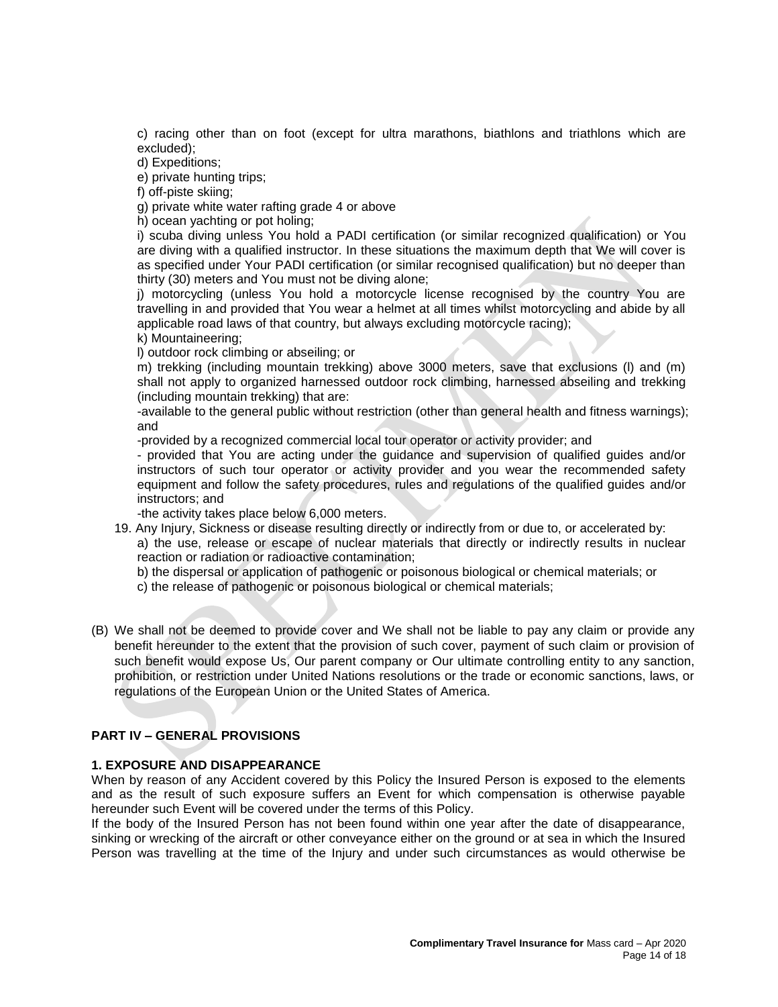c) racing other than on foot (except for ultra marathons, biathlons and triathlons which are excluded);

d) Expeditions;

e) private hunting trips;

f) off-piste skiing;

g) private white water rafting grade 4 or above

h) ocean yachting or pot holing;

i) scuba diving unless You hold a PADI certification (or similar recognized qualification) or You are diving with a qualified instructor. In these situations the maximum depth that We will cover is as specified under Your PADI certification (or similar recognised qualification) but no deeper than thirty (30) meters and You must not be diving alone;

j) motorcycling (unless You hold a motorcycle license recognised by the country You are travelling in and provided that You wear a helmet at all times whilst motorcycling and abide by all applicable road laws of that country, but always excluding motorcycle racing);

k) Mountaineering;

l) outdoor rock climbing or abseiling; or

m) trekking (including mountain trekking) above 3000 meters, save that exclusions (l) and (m) shall not apply to organized harnessed outdoor rock climbing, harnessed abseiling and trekking (including mountain trekking) that are:

-available to the general public without restriction (other than general health and fitness warnings); and

-provided by a recognized commercial local tour operator or activity provider; and

- provided that You are acting under the guidance and supervision of qualified guides and/or instructors of such tour operator or activity provider and you wear the recommended safety equipment and follow the safety procedures, rules and regulations of the qualified guides and/or instructors; and

-the activity takes place below 6,000 meters.

19. Any Injury, Sickness or disease resulting directly or indirectly from or due to, or accelerated by: a) the use, release or escape of nuclear materials that directly or indirectly results in nuclear reaction or radiation or radioactive contamination;

b) the dispersal or application of pathogenic or poisonous biological or chemical materials; or c) the release of pathogenic or poisonous biological or chemical materials;

(B) We shall not be deemed to provide cover and We shall not be liable to pay any claim or provide any benefit hereunder to the extent that the provision of such cover, payment of such claim or provision of such benefit would expose Us, Our parent company or Our ultimate controlling entity to any sanction, prohibition, or restriction under United Nations resolutions or the trade or economic sanctions, laws, or regulations of the European Union or the United States of America.

# **PART IV – GENERAL PROVISIONS**

## **1. EXPOSURE AND DISAPPEARANCE**

When by reason of any Accident covered by this Policy the Insured Person is exposed to the elements and as the result of such exposure suffers an Event for which compensation is otherwise payable hereunder such Event will be covered under the terms of this Policy.

If the body of the Insured Person has not been found within one year after the date of disappearance, sinking or wrecking of the aircraft or other conveyance either on the ground or at sea in which the Insured Person was travelling at the time of the Injury and under such circumstances as would otherwise be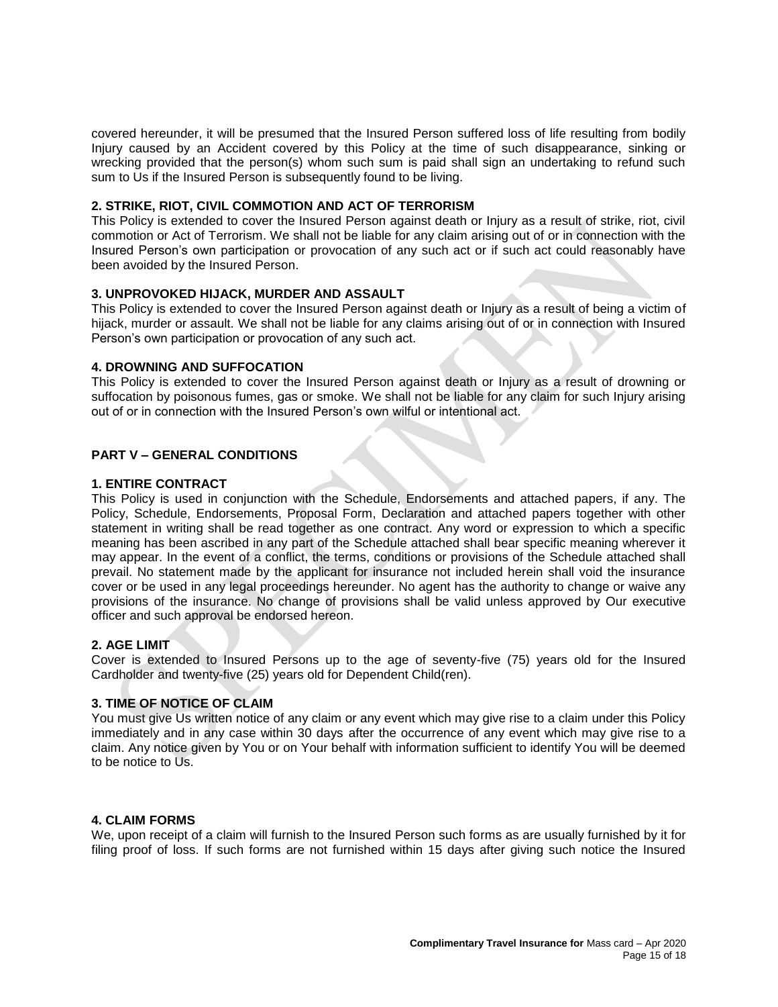covered hereunder, it will be presumed that the Insured Person suffered loss of life resulting from bodily Injury caused by an Accident covered by this Policy at the time of such disappearance, sinking or wrecking provided that the person(s) whom such sum is paid shall sign an undertaking to refund such sum to Us if the Insured Person is subsequently found to be living.

## **2. STRIKE, RIOT, CIVIL COMMOTION AND ACT OF TERRORISM**

This Policy is extended to cover the Insured Person against death or Injury as a result of strike, riot, civil commotion or Act of Terrorism. We shall not be liable for any claim arising out of or in connection with the Insured Person's own participation or provocation of any such act or if such act could reasonably have been avoided by the Insured Person.

# **3. UNPROVOKED HIJACK, MURDER AND ASSAULT**

This Policy is extended to cover the Insured Person against death or Injury as a result of being a victim of hijack, murder or assault. We shall not be liable for any claims arising out of or in connection with Insured Person's own participation or provocation of any such act.

## **4. DROWNING AND SUFFOCATION**

This Policy is extended to cover the Insured Person against death or Injury as a result of drowning or suffocation by poisonous fumes, gas or smoke. We shall not be liable for any claim for such Injury arising out of or in connection with the Insured Person's own wilful or intentional act.

# **PART V – GENERAL CONDITIONS**

# **1. ENTIRE CONTRACT**

This Policy is used in conjunction with the Schedule, Endorsements and attached papers, if any. The Policy, Schedule, Endorsements, Proposal Form, Declaration and attached papers together with other statement in writing shall be read together as one contract. Any word or expression to which a specific meaning has been ascribed in any part of the Schedule attached shall bear specific meaning wherever it may appear. In the event of a conflict, the terms, conditions or provisions of the Schedule attached shall prevail. No statement made by the applicant for insurance not included herein shall void the insurance cover or be used in any legal proceedings hereunder. No agent has the authority to change or waive any provisions of the insurance. No change of provisions shall be valid unless approved by Our executive officer and such approval be endorsed hereon.

## **2. AGE LIMIT**

Cover is extended to Insured Persons up to the age of seventy-five (75) years old for the Insured Cardholder and twenty-five (25) years old for Dependent Child(ren).

## **3. TIME OF NOTICE OF CLAIM**

You must give Us written notice of any claim or any event which may give rise to a claim under this Policy immediately and in any case within 30 days after the occurrence of any event which may give rise to a claim. Any notice given by You or on Your behalf with information sufficient to identify You will be deemed to be notice to Us.

## **4. CLAIM FORMS**

We, upon receipt of a claim will furnish to the Insured Person such forms as are usually furnished by it for filing proof of loss. If such forms are not furnished within 15 days after giving such notice the Insured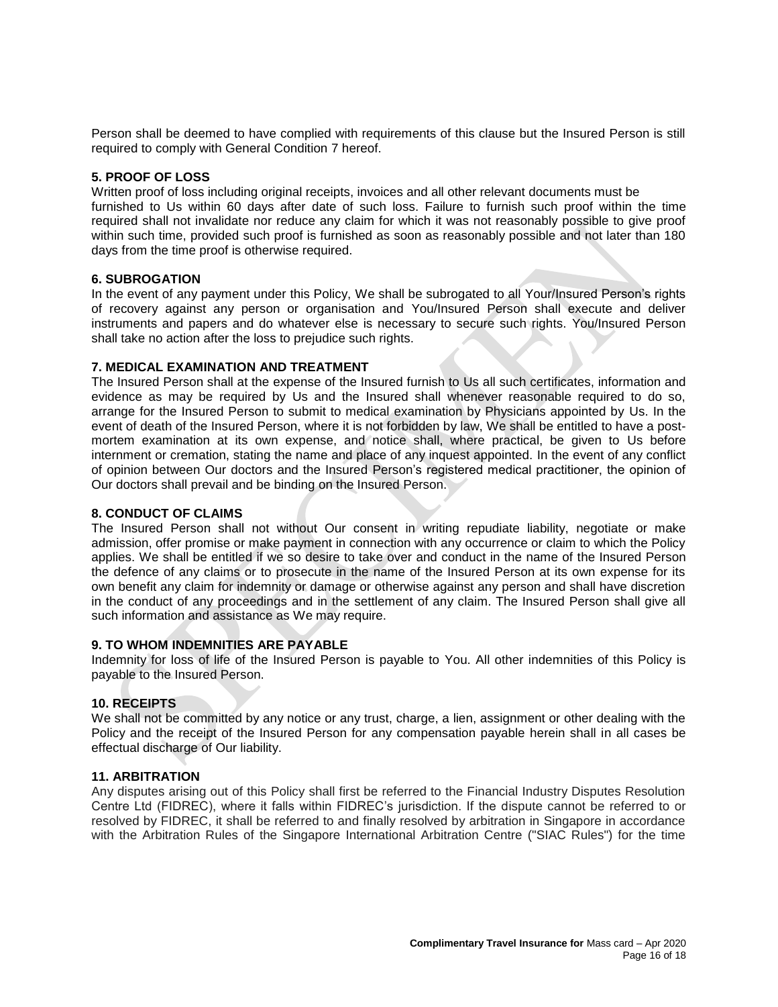Person shall be deemed to have complied with requirements of this clause but the Insured Person is still required to comply with General Condition 7 hereof.

## **5. PROOF OF LOSS**

Written proof of loss including original receipts, invoices and all other relevant documents must be furnished to Us within 60 days after date of such loss. Failure to furnish such proof within the time required shall not invalidate nor reduce any claim for which it was not reasonably possible to give proof within such time, provided such proof is furnished as soon as reasonably possible and not later than 180 days from the time proof is otherwise required.

# **6. SUBROGATION**

In the event of any payment under this Policy, We shall be subrogated to all Your/Insured Person's rights of recovery against any person or organisation and You/Insured Person shall execute and deliver instruments and papers and do whatever else is necessary to secure such rights. You/Insured Person shall take no action after the loss to prejudice such rights.

# **7. MEDICAL EXAMINATION AND TREATMENT**

The Insured Person shall at the expense of the Insured furnish to Us all such certificates, information and evidence as may be required by Us and the Insured shall whenever reasonable required to do so, arrange for the Insured Person to submit to medical examination by Physicians appointed by Us. In the event of death of the Insured Person, where it is not forbidden by law, We shall be entitled to have a postmortem examination at its own expense, and notice shall, where practical, be given to Us before internment or cremation, stating the name and place of any inquest appointed. In the event of any conflict of opinion between Our doctors and the Insured Person's registered medical practitioner, the opinion of Our doctors shall prevail and be binding on the Insured Person.

# **8. CONDUCT OF CLAIMS**

The Insured Person shall not without Our consent in writing repudiate liability, negotiate or make admission, offer promise or make payment in connection with any occurrence or claim to which the Policy applies. We shall be entitled if we so desire to take over and conduct in the name of the Insured Person the defence of any claims or to prosecute in the name of the Insured Person at its own expense for its own benefit any claim for indemnity or damage or otherwise against any person and shall have discretion in the conduct of any proceedings and in the settlement of any claim. The Insured Person shall give all such information and assistance as We may require.

## **9. TO WHOM INDEMNITIES ARE PAYABLE**

Indemnity for loss of life of the Insured Person is payable to You. All other indemnities of this Policy is payable to the Insured Person.

## **10. RECEIPTS**

We shall not be committed by any notice or any trust, charge, a lien, assignment or other dealing with the Policy and the receipt of the Insured Person for any compensation payable herein shall in all cases be effectual discharge of Our liability.

## **11. ARBITRATION**

Any disputes arising out of this Policy shall first be referred to the Financial Industry Disputes Resolution Centre Ltd (FIDREC), where it falls within FIDREC's jurisdiction. If the dispute cannot be referred to or resolved by FIDREC, it shall be referred to and finally resolved by arbitration in Singapore in accordance with the Arbitration Rules of the Singapore International Arbitration Centre ("SIAC Rules") for the time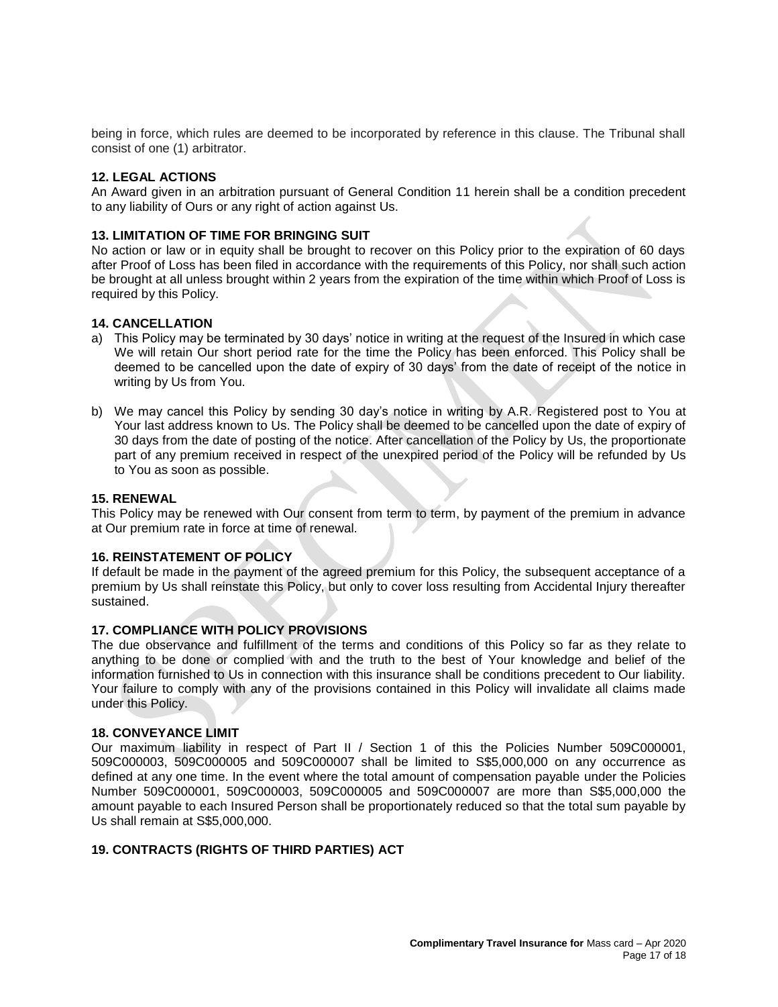being in force, which rules are deemed to be incorporated by reference in this clause. The Tribunal shall consist of one (1) arbitrator.

## **12. LEGAL ACTIONS**

An Award given in an arbitration pursuant of General Condition 11 herein shall be a condition precedent to any liability of Ours or any right of action against Us.

#### **13. LIMITATION OF TIME FOR BRINGING SUIT**

No action or law or in equity shall be brought to recover on this Policy prior to the expiration of 60 days after Proof of Loss has been filed in accordance with the requirements of this Policy, nor shall such action be brought at all unless brought within 2 years from the expiration of the time within which Proof of Loss is required by this Policy.

#### **14. CANCELLATION**

- a) This Policy may be terminated by 30 days' notice in writing at the request of the Insured in which case We will retain Our short period rate for the time the Policy has been enforced. This Policy shall be deemed to be cancelled upon the date of expiry of 30 days' from the date of receipt of the notice in writing by Us from You.
- b) We may cancel this Policy by sending 30 day's notice in writing by A.R. Registered post to You at Your last address known to Us. The Policy shall be deemed to be cancelled upon the date of expiry of 30 days from the date of posting of the notice. After cancellation of the Policy by Us, the proportionate part of any premium received in respect of the unexpired period of the Policy will be refunded by Us to You as soon as possible.

#### **15. RENEWAL**

This Policy may be renewed with Our consent from term to term, by payment of the premium in advance at Our premium rate in force at time of renewal.

#### **16. REINSTATEMENT OF POLICY**

If default be made in the payment of the agreed premium for this Policy, the subsequent acceptance of a premium by Us shall reinstate this Policy, but only to cover loss resulting from Accidental Injury thereafter sustained.

## **17. COMPLIANCE WITH POLICY PROVISIONS**

The due observance and fulfillment of the terms and conditions of this Policy so far as they relate to anything to be done or complied with and the truth to the best of Your knowledge and belief of the information furnished to Us in connection with this insurance shall be conditions precedent to Our liability. Your failure to comply with any of the provisions contained in this Policy will invalidate all claims made under this Policy.

## **18. CONVEYANCE LIMIT**

Our maximum liability in respect of Part II / Section 1 of this the Policies Number 509C000001, 509C000003, 509C000005 and 509C000007 shall be limited to S\$5,000,000 on any occurrence as defined at any one time. In the event where the total amount of compensation payable under the Policies Number 509C000001, 509C000003, 509C000005 and 509C000007 are more than S\$5,000,000 the amount payable to each Insured Person shall be proportionately reduced so that the total sum payable by Us shall remain at S\$5,000,000.

## **19. CONTRACTS (RIGHTS OF THIRD PARTIES) ACT**